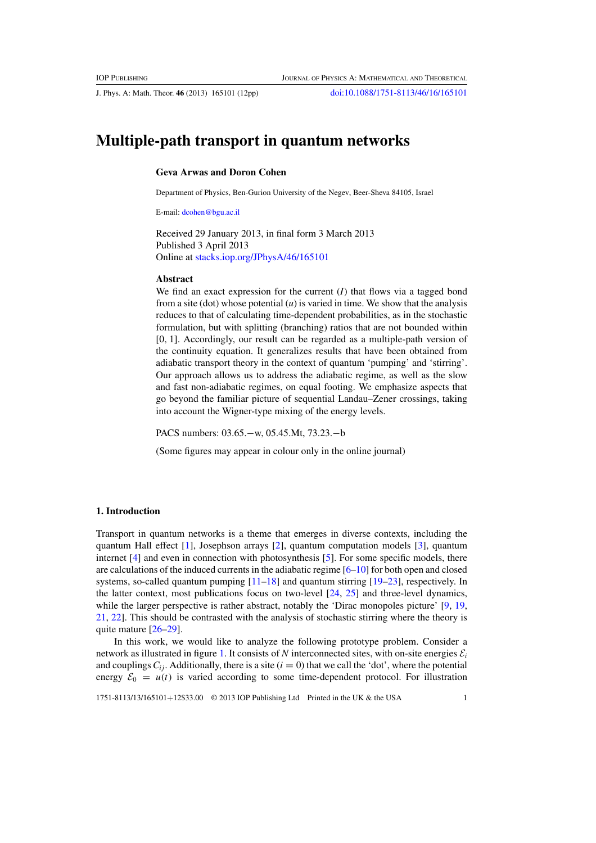J. Phys. A: Math. Theor. **46** (2013) 165101 (12pp) [doi:10.1088/1751-8113/46/16/165101](http://dx.doi.org/10.1088/1751-8113/46/16/165101)

# **Multiple-path transport in quantum networks**

## **Geva Arwas and Doron Cohen**

Department of Physics, Ben-Gurion University of the Negev, Beer-Sheva 84105, Israel

E-mail: [dcohen@bgu.ac.il](mailto:dcohen@bgu.ac.il)

Received 29 January 2013, in final form 3 March 2013 Published 3 April 2013 Online at [stacks.iop.org/JPhysA/46/165101](http://stacks.iop.org/JPhysA/46/165101)

# **Abstract**

We find an exact expression for the current (*I*) that flows via a tagged bond from a site (dot) whose potential  $(u)$  is varied in time. We show that the analysis reduces to that of calculating time-dependent probabilities, as in the stochastic formulation, but with splitting (branching) ratios that are not bounded within [0, 1]. Accordingly, our result can be regarded as a multiple-path version of the continuity equation. It generalizes results that have been obtained from adiabatic transport theory in the context of quantum 'pumping' and 'stirring'. Our approach allows us to address the adiabatic regime, as well as the slow and fast non-adiabatic regimes, on equal footing. We emphasize aspects that go beyond the familiar picture of sequential Landau–Zener crossings, taking into account the Wigner-type mixing of the energy levels.

PACS numbers: 03.65.−w, 05.45.Mt, 73.23.−b

(Some figures may appear in colour only in the online journal)

### **1. Introduction**

Transport in quantum networks is a theme that emerges in diverse contexts, including the quantum Hall effect [\[1\]](#page-11-0), Josephson arrays [\[2](#page-11-0)], quantum computation models [\[3](#page-11-0)], quantum internet [\[4\]](#page-11-0) and even in connection with photosynthesis [\[5](#page-11-0)]. For some specific models, there are calculations of the induced currents in the adiabatic regime  $[6-10]$  for both open and closed systems, so-called quantum pumping [\[11–18\]](#page-11-0) and quantum stirring [\[19–23](#page-11-0)], respectively. In the latter context, most publications focus on two-level [\[24](#page-11-0), [25](#page-11-0)] and three-level dynamics, while the larger perspective is rather abstract, notably the 'Dirac monopoles picture' [\[9,](#page-11-0) [19](#page-11-0), [21,](#page-11-0) [22](#page-11-0)]. This should be contrasted with the analysis of stochastic stirring where the theory is quite mature [\[26–29\]](#page-11-0).

In this work, we would like to analyze the following prototype problem. Consider a network as illustrated in figure [1.](#page-1-0) It consists of *N* interconnected sites, with on-site energies  $\mathcal{E}_i$ and couplings  $C_i$ . Additionally, there is a site  $(i = 0)$  that we call the 'dot', where the potential energy  $\mathcal{E}_0 = u(t)$  is varied according to some time-dependent protocol. For illustration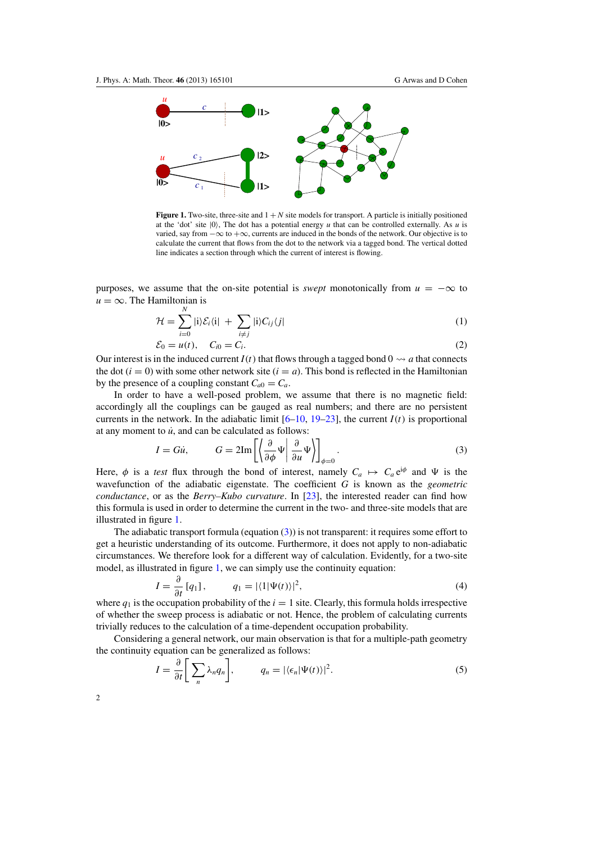<span id="page-1-0"></span>

**Figure 1.** Two-site, three-site and  $1 + N$  site models for transport. A particle is initially positioned at the 'dot' site  $|0\rangle$ , The dot has a potential energy *u* that can be controlled externally. As *u* is varied, say from  $-\infty$  to  $+\infty$ , currents are induced in the bonds of the network. Our objective is to calculate the current that flows from the dot to the network via a tagged bond. The vertical dotted line indicates a section through which the current of interest is flowing.

purposes, we assume that the on-site potential is *swept* monotonically from  $u = -\infty$  to  $u = \infty$ . The Hamiltonian is

$$
\mathcal{H} = \sum_{i=0}^{N} |i\rangle \mathcal{E}_i \langle i| + \sum_{i \neq j} |i\rangle C_{ij} \langle j| \tag{1}
$$

$$
\mathcal{E}_0 = u(t), \quad C_{i0} = C_i.
$$
 (2)

Our interest is in the induced current  $I(t)$  that flows through a tagged bond  $0 \rightsquigarrow a$  that connects the dot ( $i = 0$ ) with some other network site ( $i = a$ ). This bond is reflected in the Hamiltonian by the presence of a coupling constant  $C_{a0} = C_a$ .

In order to have a well-posed problem, we assume that there is no magnetic field: accordingly all the couplings can be gauged as real numbers; and there are no persistent currents in the network. In the adiabatic limit  $[6–10, 19–23]$  $[6–10, 19–23]$  $[6–10, 19–23]$ , the current  $I(t)$  is proportional at any moment to  $\dot{u}$ , and can be calculated as follows:

$$
I = Gi, \qquad G = 2\mathrm{Im}\left[\left\langle \frac{\partial}{\partial \phi} \Psi \middle| \frac{\partial}{\partial u} \Psi \right\rangle \right]_{\phi=0}.
$$
 (3)

Here,  $\phi$  is a *test* flux through the bond of interest, namely  $C_a \mapsto C_a e^{i\phi}$  and  $\Psi$  is the wavefunction of the adiabatic eigenstate. The coefficient *G* is known as the *geometric conductance*, or as the *Berry–Kubo curvature*. In [\[23\]](#page-11-0), the interested reader can find how this formula is used in order to determine the current in the two- and three-site models that are illustrated in figure 1.

The adiabatic transport formula (equation (3)) is not transparent: it requires some effort to get a heuristic understanding of its outcome. Furthermore, it does not apply to non-adiabatic circumstances. We therefore look for a different way of calculation. Evidently, for a two-site model, as illustrated in figure 1, we can simply use the continuity equation:

$$
I = \frac{\partial}{\partial t} [q_1], \qquad q_1 = |\langle 1 | \Psi(t) \rangle|^2, \tag{4}
$$

where  $q_1$  is the occupation probability of the  $i = 1$  site. Clearly, this formula holds irrespective of whether the sweep process is adiabatic or not. Hence, the problem of calculating currents trivially reduces to the calculation of a time-dependent occupation probability.

Considering a general network, our main observation is that for a multiple-path geometry the continuity equation can be generalized as follows:

$$
I = \frac{\partial}{\partial t} \bigg[ \sum_{n} \lambda_n q_n \bigg], \qquad q_n = |\langle \epsilon_n | \Psi(t) \rangle|^2. \tag{5}
$$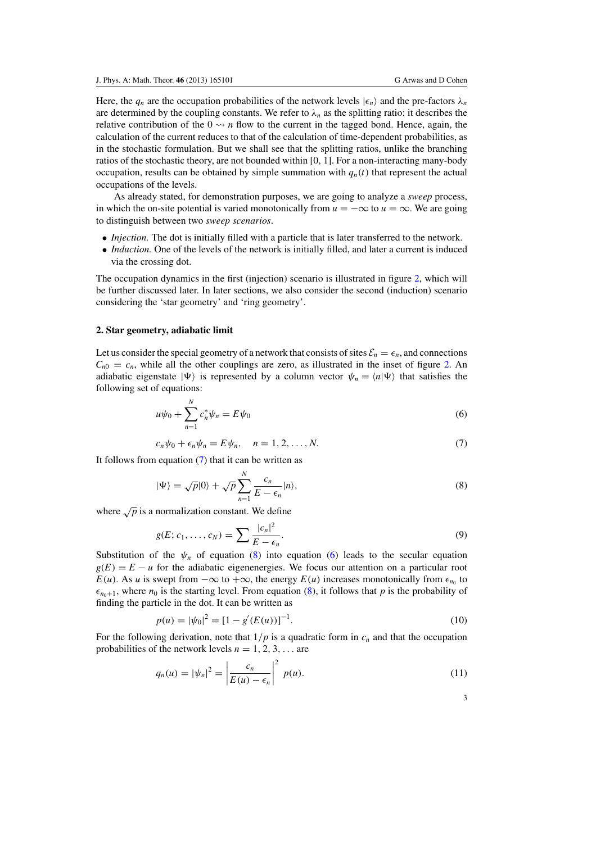3

<span id="page-2-0"></span>Here, the  $q_n$  are the occupation probabilities of the network levels  $|\epsilon_n\rangle$  and the pre-factors  $\lambda_n$ are determined by the coupling constants. We refer to  $\lambda_n$  as the splitting ratio: it describes the relative contribution of the  $0 \rightarrow n$  flow to the current in the tagged bond. Hence, again, the calculation of the current reduces to that of the calculation of time-dependent probabilities, as in the stochastic formulation. But we shall see that the splitting ratios, unlike the branching ratios of the stochastic theory, are not bounded within [0, 1]. For a non-interacting many-body occupation, results can be obtained by simple summation with  $q_n(t)$  that represent the actual occupations of the levels.

As already stated, for demonstration purposes, we are going to analyze a *sweep* process, in which the on-site potential is varied monotonically from  $u = -\infty$  to  $u = \infty$ . We are going to distinguish between two *sweep scenarios*.

- *Injection*. The dot is initially filled with a particle that is later transferred to the network.
- *Induction*. One of the levels of the network is initially filled, and later a current is induced via the crossing dot.

The occupation dynamics in the first (injection) scenario is illustrated in figure [2,](#page-3-0) which will be further discussed later. In later sections, we also consider the second (induction) scenario considering the 'star geometry' and 'ring geometry'.

#### **2. Star geometry, adiabatic limit**

Let us consider the special geometry of a network that consists of sites  $\mathcal{E}_n = \epsilon_n$ , and connections  $C_{n0} = c_n$ , while all the other couplings are zero, as illustrated in the inset of figure [2.](#page-3-0) An adiabatic eigenstate  $|\Psi\rangle$  is represented by a column vector  $\psi_n = \langle n | \Psi \rangle$  that satisfies the following set of equations:

$$
u\psi_0 + \sum_{n=1}^{N} c_n^* \psi_n = E\psi_0
$$
\n(6)

$$
c_n \psi_0 + \epsilon_n \psi_n = E \psi_n, \quad n = 1, 2, \dots, N. \tag{7}
$$

It follows from equation (7) that it can be written as

$$
|\Psi\rangle = \sqrt{p}|0\rangle + \sqrt{p}\sum_{n=1}^{N} \frac{c_n}{E - \epsilon_n}|n\rangle,
$$
\n(8)

where  $\sqrt{p}$  is a normalization constant. We define

$$
g(E; c_1, \ldots, c_N) = \sum \frac{|c_n|^2}{E - \epsilon_n}.
$$
\n
$$
(9)
$$

Substitution of the  $\psi_n$  of equation (8) into equation (6) leads to the secular equation  $g(E) = E - u$  for the adiabatic eigenenergies. We focus our attention on a particular root *E*(*u*). As *u* is swept from  $-\infty$  to  $+\infty$ , the energy *E*(*u*) increases monotonically from  $\epsilon_{n_0}$  to  $\epsilon_{n_0+1}$ , where  $n_0$  is the starting level. From equation (8), it follows that *p* is the probability of finding the particle in the dot. It can be written as

$$
p(u) = |\psi_0|^2 = [1 - g'(E(u))]^{-1}.
$$
\n(10)

For the following derivation, note that  $1/p$  is a quadratic form in  $c_n$  and that the occupation probabilities of the network levels  $n = 1, 2, 3, \ldots$  are

$$
q_n(u) = |\psi_n|^2 = \left|\frac{c_n}{E(u) - \epsilon_n}\right|^2 p(u). \tag{11}
$$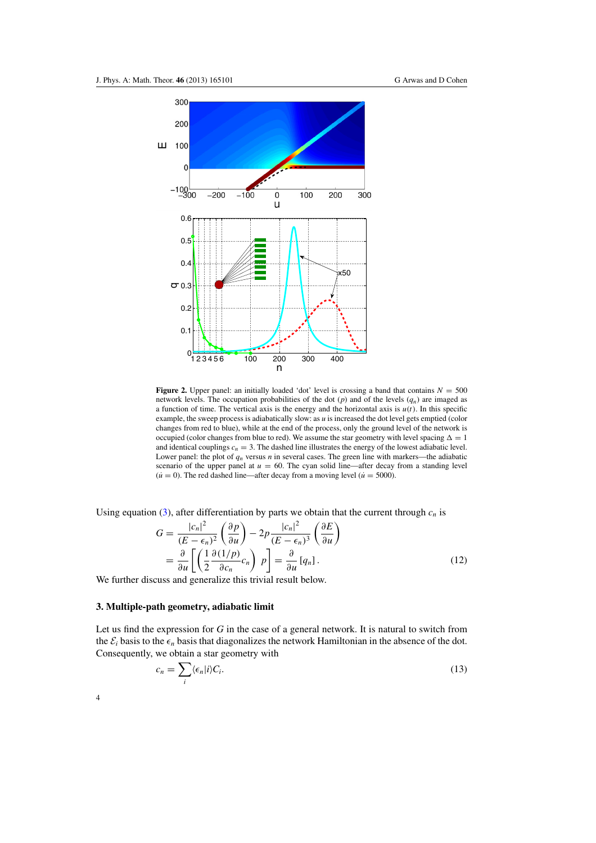<span id="page-3-0"></span>

**Figure 2.** Upper panel: an initially loaded 'dot' level is crossing a band that contains  $N = 500$ network levels. The occupation probabilities of the dot  $(p)$  and of the levels  $(q_n)$  are imaged as a function of time. The vertical axis is the energy and the horizontal axis is  $u(t)$ . In this specific example, the sweep process is adiabatically slow: as *u* is increased the dot level gets emptied (color changes from red to blue), while at the end of the process, only the ground level of the network is occupied (color changes from blue to red). We assume the star geometry with level spacing  $\Delta = 1$ and identical couplings  $c_n = 3$ . The dashed line illustrates the energy of the lowest adiabatic level. Lower panel: the plot of  $q_n$  versus *n* in several cases. The green line with markers—the adiabatic scenario of the upper panel at  $u = 60$ . The cyan solid line—after decay from a standing level  $(\dot{u} = 0)$ . The red dashed line—after decay from a moving level  $(\dot{u} = 5000)$ .

Using equation [\(3\)](#page-1-0), after differentiation by parts we obtain that the current through  $c_n$  is

$$
G = \frac{|c_n|^2}{(E - \epsilon_n)^2} \left(\frac{\partial p}{\partial u}\right) - 2p \frac{|c_n|^2}{(E - \epsilon_n)^3} \left(\frac{\partial E}{\partial u}\right)
$$
  
=  $\frac{\partial}{\partial u} \left[ \left(\frac{1}{2} \frac{\partial (1/p)}{\partial c_n} c_n\right) p \right] = \frac{\partial}{\partial u} [q_n].$  (12)

We further discuss and generalize this trivial result below.

# **3. Multiple-path geometry, adiabatic limit**

Let us find the expression for *G* in the case of a general network. It is natural to switch from the  $\mathcal{E}_i$  basis to the  $\epsilon_n$  basis that diagonalizes the network Hamiltonian in the absence of the dot. Consequently, we obtain a star geometry with

$$
c_n = \sum_i \langle \epsilon_n | i \rangle C_i. \tag{13}
$$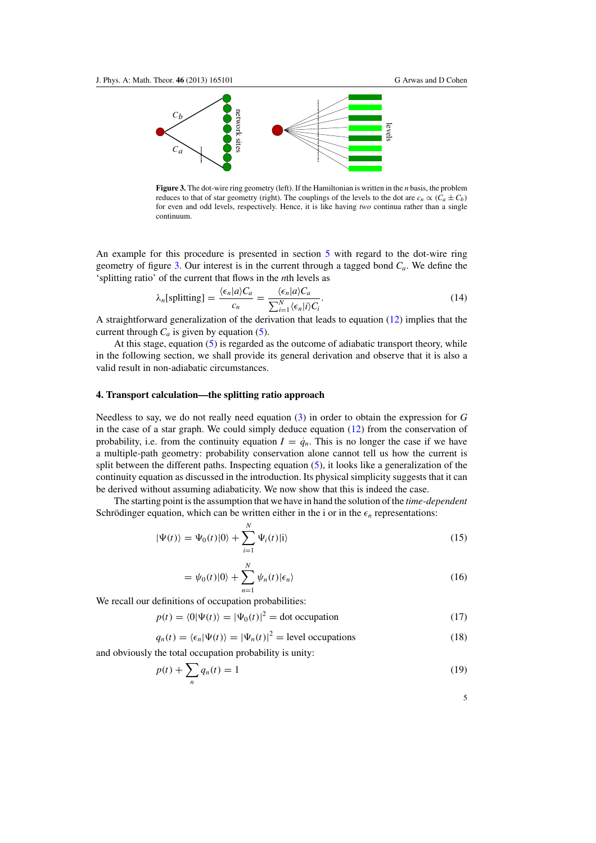<span id="page-4-0"></span>

**Figure 3.** The dot-wire ring geometry (left). If the Hamiltonian is written in the *n* basis, the problem reduces to that of star geometry (right). The couplings of the levels to the dot are  $c_n \propto (C_a \pm C_b)$ for even and odd levels, respectively. Hence, it is like having *two* continua rather than a single continuum.

An example for this procedure is presented in section [5](#page-5-0) with regard to the dot-wire ring geometry of figure 3. Our interest is in the current through a tagged bond *Ca*. We define the 'splitting ratio' of the current that flows in the *n*th levels as

$$
\lambda_n[\text{splitting}] = \frac{\langle \epsilon_n | a \rangle C_a}{c_n} = \frac{\langle \epsilon_n | a \rangle C_a}{\sum_{i=1}^N \langle \epsilon_n | i \rangle C_i}.
$$
\n(14)

A straightforward generalization of the derivation that leads to equation [\(12\)](#page-3-0) implies that the current through  $C_a$  is given by equation [\(5\)](#page-1-0).

At this stage, equation [\(5\)](#page-1-0) is regarded as the outcome of adiabatic transport theory, while in the following section, we shall provide its general derivation and observe that it is also a valid result in non-adiabatic circumstances.

#### **4. Transport calculation—the splitting ratio approach**

Needless to say, we do not really need equation [\(3\)](#page-1-0) in order to obtain the expression for *G* in the case of a star graph. We could simply deduce equation [\(12\)](#page-3-0) from the conservation of probability, i.e. from the continuity equation  $I = \dot{q}_n$ . This is no longer the case if we have a multiple-path geometry: probability conservation alone cannot tell us how the current is split between the different paths. Inspecting equation [\(5\)](#page-1-0), it looks like a generalization of the continuity equation as discussed in the introduction. Its physical simplicity suggests that it can be derived without assuming adiabaticity. We now show that this is indeed the case.

The starting point is the assumption that we have in hand the solution of the *time-dependent* Schrödinger equation, which can be written either in the i or in the  $\epsilon_n$  representations:

$$
|\Psi(t)\rangle = \Psi_0(t)|0\rangle + \sum_{i=1}^{N} \Psi_i(t)|i\rangle
$$
\n(15)

$$
= \psi_0(t)|0\rangle + \sum_{n=1}^{N} \psi_n(t)|\epsilon_n\rangle
$$
\n(16)

We recall our definitions of occupation probabilities:

 $p(t) = (0|\Psi(t)) = |\Psi_0(t)|^2 = \text{dot occupation}$  (17)

$$
q_n(t) = \langle \epsilon_n | \Psi(t) \rangle = |\Psi_n(t)|^2 = \text{level occupations}
$$
 (18)

and obviously the total occupation probability is unity:

$$
p(t) + \sum_{n} q_n(t) = 1 \tag{19}
$$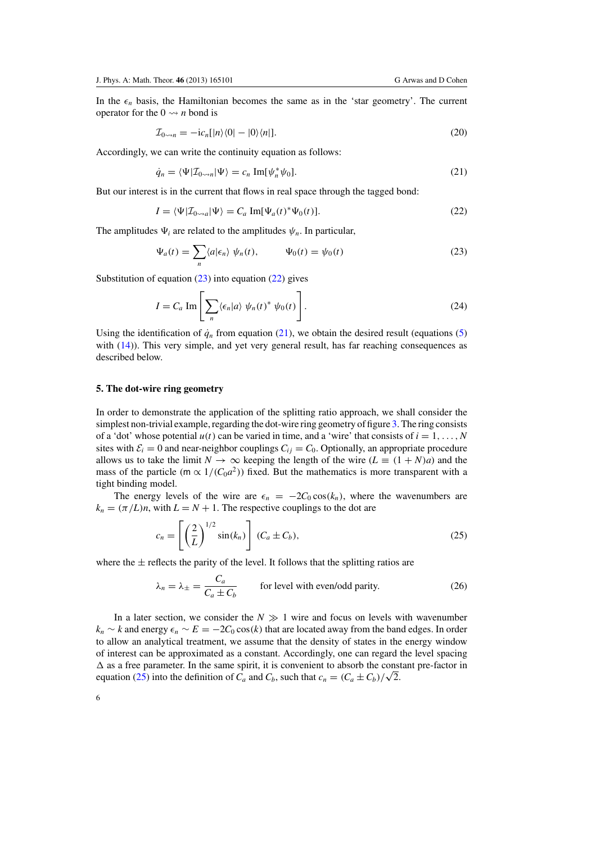$$
\mathcal{I}_{0\leadsto n} = -ic_n[|n\rangle\langle 0| - |0\rangle\langle n|].\tag{20}
$$

<span id="page-5-0"></span>Accordingly, we can write the continuity equation as follows:

$$
\dot{q}_n = \langle \Psi | \mathcal{I}_{0 \leadsto n} | \Psi \rangle = c_n \operatorname{Im}[\psi_n^* \psi_0]. \tag{21}
$$

But our interest is in the current that flows in real space through the tagged bond:

$$
I = \langle \Psi | \mathcal{I}_{0 \leadsto a} | \Psi \rangle = C_a \operatorname{Im}[\Psi_a(t)^* \Psi_0(t)]. \tag{22}
$$

The amplitudes  $\Psi_i$  are related to the amplitudes  $\psi_n$ . In particular,

$$
\Psi_a(t) = \sum_n \langle a | \epsilon_n \rangle \psi_n(t), \qquad \Psi_0(t) = \psi_0(t) \tag{23}
$$

Substitution of equation  $(23)$  into equation  $(22)$  gives

$$
I = C_a \operatorname{Im} \left[ \sum_n \langle \epsilon_n | a \rangle \psi_n(t)^* \psi_0(t) \right]. \tag{24}
$$

Using the identification of  $\dot{q}_n$  from equation (21), we obtain the desired result (equations [\(5\)](#page-1-0) with [\(14\)](#page-4-0)). This very simple, and yet very general result, has far reaching consequences as described below.

## **5. The dot-wire ring geometry**

In order to demonstrate the application of the splitting ratio approach, we shall consider the simplest non-trivial example, regarding the dot-wire ring geometry of figure [3.](#page-4-0) The ring consists of a 'dot' whose potential  $u(t)$  can be varied in time, and a 'wire' that consists of  $i = 1, \ldots, N$ sites with  $\mathcal{E}_i = 0$  and near-neighbor couplings  $C_{ij} = C_0$ . Optionally, an appropriate procedure allows us to take the limit  $N \to \infty$  keeping the length of the wire  $(L \equiv (1 + N)a)$  and the mass of the particle (m  $\propto 1/(C_0 a^2)$ ) fixed. But the mathematics is more transparent with a tight binding model.

The energy levels of the wire are  $\epsilon_n = -2C_0 \cos(k_n)$ , where the wavenumbers are  $k_n = (\pi/L)n$ , with  $L = N + 1$ . The respective couplings to the dot are

$$
c_n = \left[ \left( \frac{2}{L} \right)^{1/2} \sin(k_n) \right] (C_a \pm C_b), \tag{25}
$$

where the  $\pm$  reflects the parity of the level. It follows that the splitting ratios are

$$
\lambda_n = \lambda_{\pm} = \frac{C_a}{C_a \pm C_b}
$$
 for level with even/odd parity. (26)

In a later section, we consider the  $N \gg 1$  wire and focus on levels with wavenumber  $k_n \sim k$  and energy  $\epsilon_n \sim E = -2C_0 \cos(k)$  that are located away from the band edges. In order to allow an analytical treatment, we assume that the density of states in the energy window of interest can be approximated as a constant. Accordingly, one can regard the level spacing  $\Delta$  as a free parameter. In the same spirit, it is convenient to absorb the constant pre-factor in equation (25) into the definition of  $C_a$  and  $C_b$ , such that  $c_n = (C_a \pm C_b)/\sqrt{2}$ .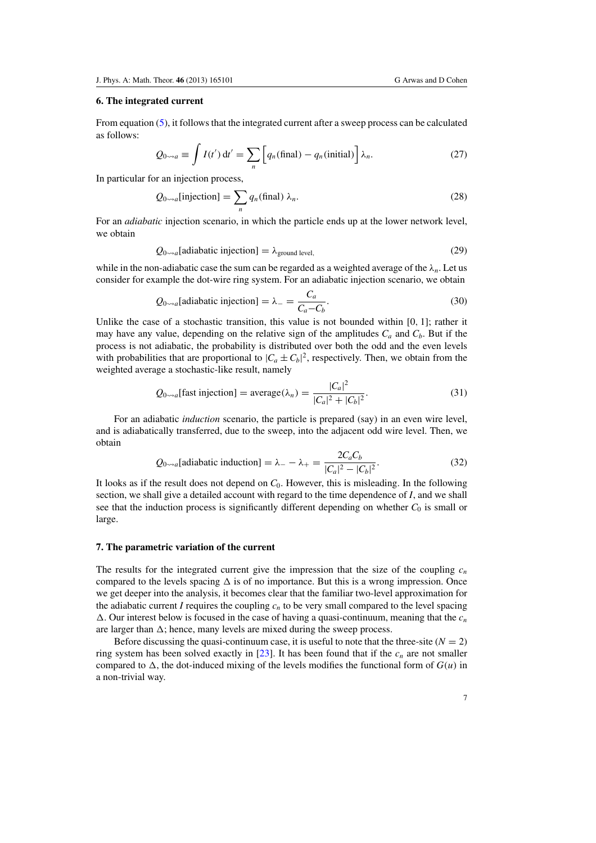## **6. The integrated current**

From equation [\(5\)](#page-1-0), it follows that the integrated current after a sweep process can be calculated as follows:

$$
Q_{0\leadsto a} \equiv \int I(t') dt' = \sum_{n} \left[ q_n(\text{final}) - q_n(\text{initial}) \right] \lambda_n. \tag{27}
$$

In particular for an injection process,

$$
Q_{0\leadsto a}[\text{injection}] = \sum_{n} q_n(\text{final}) \lambda_n. \tag{28}
$$

For an *adiabatic* injection scenario, in which the particle ends up at the lower network level, we obtain

$$
Q_{0\leadsto a}[adiabatic injection] = \lambda_{\text{ground level},}
$$
\n(29)

while in the non-adiabatic case the sum can be regarded as a weighted average of the  $\lambda_n$ . Let us consider for example the dot-wire ring system. For an adiabatic injection scenario, we obtain

$$
Q_{0\leadsto a}[\text{adiabatic injection}] = \lambda_{-} = \frac{C_a}{C_a - C_b}.
$$
 (30)

Unlike the case of a stochastic transition, this value is not bounded within  $[0, 1]$ ; rather it may have any value, depending on the relative sign of the amplitudes  $C_a$  and  $C_b$ . But if the process is not adiabatic, the probability is distributed over both the odd and the even levels with probabilities that are proportional to  $|C_a \pm C_b|^2$ , respectively. Then, we obtain from the weighted average a stochastic-like result, namely

$$
Q_{0\leadsto a}[\text{fast injection}] = \text{average}(\lambda_n) = \frac{|C_a|^2}{|C_a|^2 + |C_b|^2}.
$$
 (31)

For an adiabatic *induction* scenario, the particle is prepared (say) in an even wire level, and is adiabatically transferred, due to the sweep, into the adjacent odd wire level. Then, we obtain

$$
Q_{0\leadsto a}[\text{adiabatic induction}] = \lambda_{-} - \lambda_{+} = \frac{2C_a C_b}{|C_a|^2 - |C_b|^2}.
$$
 (32)

It looks as if the result does not depend on *C*0. However, this is misleading. In the following section, we shall give a detailed account with regard to the time dependence of *I*, and we shall see that the induction process is significantly different depending on whether  $C_0$  is small or large.

#### **7. The parametric variation of the current**

The results for the integrated current give the impression that the size of the coupling  $c_n$ compared to the levels spacing  $\Delta$  is of no importance. But this is a wrong impression. Once we get deeper into the analysis, it becomes clear that the familiar two-level approximation for the adiabatic current *I* requires the coupling  $c_n$  to be very small compared to the level spacing  $\Delta$ . Our interest below is focused in the case of having a quasi-continuum, meaning that the  $c_n$ are larger than  $\Delta$ ; hence, many levels are mixed during the sweep process.

Before discussing the quasi-continuum case, it is useful to note that the three-site  $(N = 2)$ ring system has been solved exactly in  $[23]$  $[23]$ . It has been found that if the  $c_n$  are not smaller compared to  $\Delta$ , the dot-induced mixing of the levels modifies the functional form of  $G(u)$  in a non-trivial way.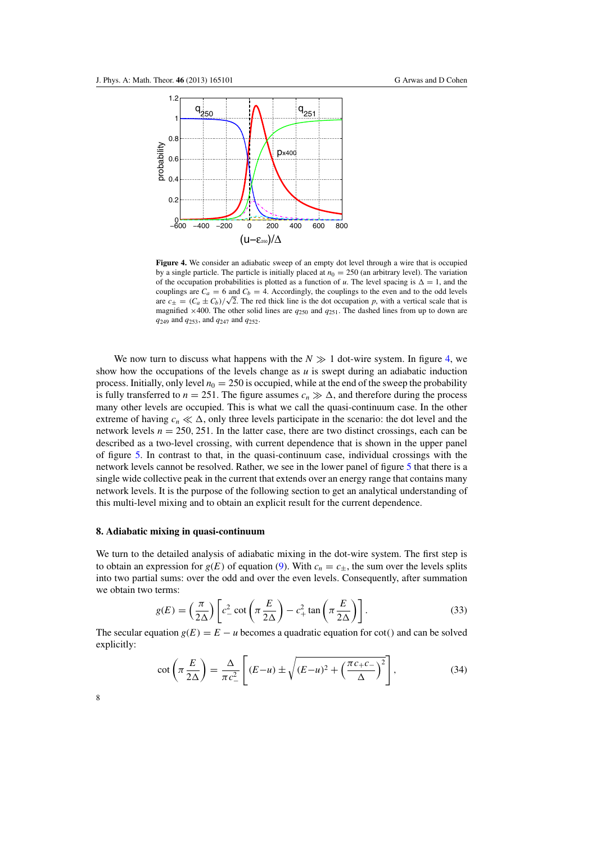<span id="page-7-0"></span>

**Figure 4.** We consider an adiabatic sweep of an empty dot level through a wire that is occupied by a single particle. The particle is initially placed at  $n_0 = 250$  (an arbitrary level). The variation of the occupation probabilities is plotted as a function of *u*. The level spacing is  $\Delta = 1$ , and the couplings are  $C_a = 6$  and  $C_b = 4$ . Accordingly, the couplings to the even and to the odd levels are  $c_{\pm} = (C_a \pm C_b)/\sqrt{2}$ . The red thick line is the dot occupation *p*, with a vertical scale that is magnified  $\times$  400. The other solid lines are  $q_{250}$  and  $q_{251}$ . The dashed lines from up to down are *q*<sup>249</sup> and *q*253, and *q*<sup>247</sup> and *q*252.

We now turn to discuss what happens with the  $N \gg 1$  dot-wire system. In figure 4, we show how the occupations of the levels change as  $u$  is swept during an adiabatic induction process. Initially, only level  $n_0 = 250$  is occupied, while at the end of the sweep the probability is fully transferred to  $n = 251$ . The figure assumes  $c_n \gg \Delta$ , and therefore during the process many other levels are occupied. This is what we call the quasi-continuum case. In the other extreme of having  $c_n \ll \Delta$ , only three levels participate in the scenario: the dot level and the network levels  $n = 250, 251$ . In the latter case, there are two distinct crossings, each can be described as a two-level crossing, with current dependence that is shown in the upper panel of figure [5.](#page-8-0) In contrast to that, in the quasi-continuum case, individual crossings with the network levels cannot be resolved. Rather, we see in the lower panel of figure [5](#page-8-0) that there is a single wide collective peak in the current that extends over an energy range that contains many network levels. It is the purpose of the following section to get an analytical understanding of this multi-level mixing and to obtain an explicit result for the current dependence.

# **8. Adiabatic mixing in quasi-continuum**

We turn to the detailed analysis of adiabatic mixing in the dot-wire system. The first step is to obtain an expression for  $g(E)$  of equation [\(9\)](#page-2-0). With  $c_n = c_{\pm}$ , the sum over the levels splits into two partial sums: over the odd and over the even levels. Consequently, after summation we obtain two terms:

$$
g(E) = \left(\frac{\pi}{2\Delta}\right) \left[c_{-}^{2} \cot\left(\pi \frac{E}{2\Delta}\right) - c_{+}^{2} \tan\left(\pi \frac{E}{2\Delta}\right)\right].
$$
 (33)

The secular equation  $g(E) = E - u$  becomes a quadratic equation for cot() and can be solved explicitly:

$$
\cot\left(\pi \frac{E}{2\Delta}\right) = \frac{\Delta}{\pi c_{-}^{2}} \left[ (E - u) \pm \sqrt{(E - u)^{2} + \left(\frac{\pi c_{+} c_{-}}{\Delta}\right)^{2}} \right],
$$
\n(34)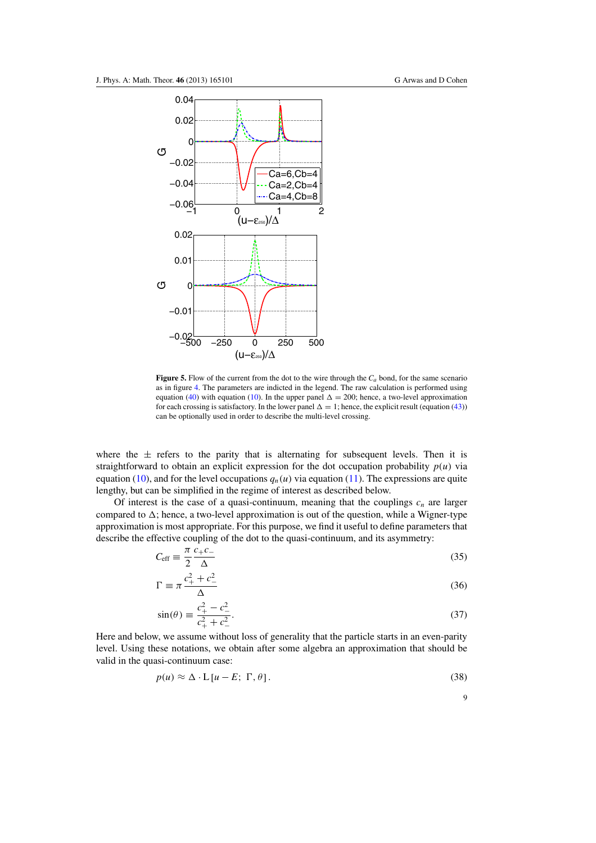<span id="page-8-0"></span>

**Figure 5.** Flow of the current from the dot to the wire through the  $C_a$  bond, for the same scenario as in figure [4.](#page-7-0) The parameters are indicted in the legend. The raw calculation is performed using equation [\(40\)](#page-9-0) with equation [\(10\)](#page-2-0). In the upper panel  $\Delta = 200$ ; hence, a two-level approximation for each crossing is satisfactory. In the lower panel  $\Delta = 1$ ; hence, the explicit result (equation [\(43\)](#page-9-0)) can be optionally used in order to describe the multi-level crossing.

where the  $\pm$  refers to the parity that is alternating for subsequent levels. Then it is straightforward to obtain an explicit expression for the dot occupation probability  $p(u)$  via equation [\(10\)](#page-2-0), and for the level occupations  $q_n(u)$  via equation [\(11\)](#page-2-0). The expressions are quite lengthy, but can be simplified in the regime of interest as described below.

Of interest is the case of a quasi-continuum, meaning that the couplings  $c_n$  are larger compared to  $\Delta$ ; hence, a two-level approximation is out of the question, while a Wigner-type approximation is most appropriate. For this purpose, we find it useful to define parameters that describe the effective coupling of the dot to the quasi-continuum, and its asymmetry:

$$
C_{\rm eff} \equiv \frac{\pi}{2} \frac{c_+ c_-}{\Delta} \tag{35}
$$

$$
\Gamma \equiv \pi \frac{c_+^2 + c_-^2}{\Delta} \tag{36}
$$

$$
\sin(\theta) \equiv \frac{c_+^2 - c_-^2}{c_+^2 + c_-^2}.\tag{37}
$$

Here and below, we assume without loss of generality that the particle starts in an even-parity level. Using these notations, we obtain after some algebra an approximation that should be valid in the quasi-continuum case:

$$
p(u) \approx \Delta \cdot L \left[ u - E; \Gamma, \theta \right]. \tag{38}
$$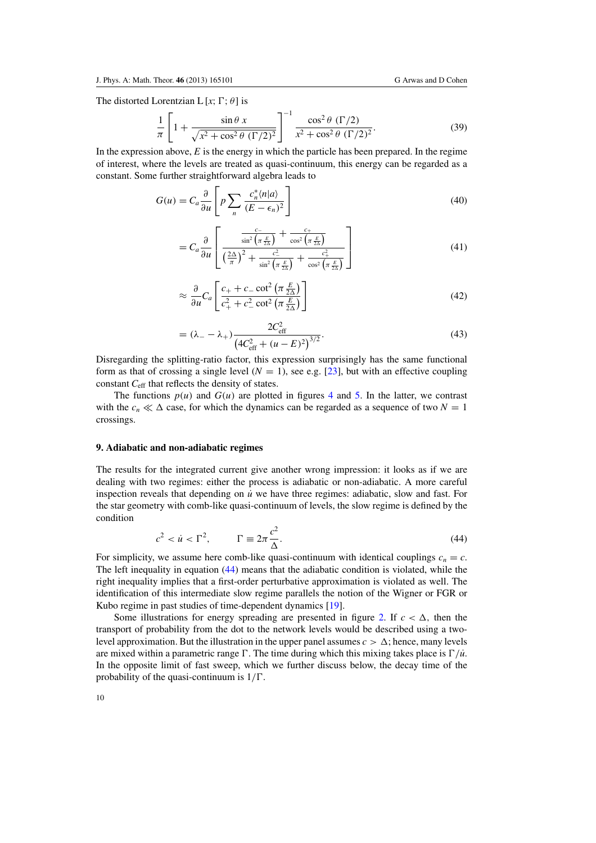<span id="page-9-0"></span>The distorted Lorentzian L [ $x$ ;  $\Gamma$ ;  $\theta$ ] is

$$
\frac{1}{\pi} \left[ 1 + \frac{\sin \theta \, x}{\sqrt{x^2 + \cos^2 \theta \, (\Gamma/2)^2}} \right]^{-1} \frac{\cos^2 \theta \, (\Gamma/2)}{x^2 + \cos^2 \theta \, (\Gamma/2)^2}.
$$
\n(39)

In the expression above,  $E$  is the energy in which the particle has been prepared. In the regime of interest, where the levels are treated as quasi-continuum, this energy can be regarded as a constant. Some further straightforward algebra leads to

$$
G(u) = C_a \frac{\partial}{\partial u} \left[ p \sum_n \frac{c_n^* \langle n | a \rangle}{(E - \epsilon_n)^2} \right]
$$
(40)

$$
=C_a \frac{\partial}{\partial u} \left[ \frac{\frac{c}{\sin^2 \left(\pi \frac{E}{2\Delta}\right)} + \frac{c_+}{\cos^2 \left(\pi \frac{E}{2\Delta}\right)}}{\left(\frac{2\Delta}{\pi}\right)^2 + \frac{c_-^2}{\sin^2 \left(\pi \frac{E}{2\Delta}\right)} + \frac{c_+^2}{\cos^2 \left(\pi \frac{E}{2\Delta}\right)}} \right]
$$
(41)

$$
\approx \frac{\partial}{\partial u} C_a \left[ \frac{c_+ + c_- \cot^2 \left( \pi \frac{E}{2\Delta} \right)}{c_+^2 + c_-^2 \cot^2 \left( \pi \frac{E}{2\Delta} \right)} \right]
$$
(42)

$$
= (\lambda_{-} - \lambda_{+}) \frac{2C_{\text{eff}}^{2}}{(4C_{\text{eff}}^{2} + (u - E)^{2})^{3/2}}.
$$
\n(43)

Disregarding the splitting-ratio factor, this expression surprisingly has the same functional form as that of crossing a single level  $(N = 1)$ , see e.g. [\[23\]](#page-11-0), but with an effective coupling constant *C*eff that reflects the density of states.

The functions  $p(u)$  and  $G(u)$  are plotted in figures [4](#page-7-0) and [5.](#page-8-0) In the latter, we contrast with the  $c_n \ll \Delta$  case, for which the dynamics can be regarded as a sequence of two  $N = 1$ crossings.

### **9. Adiabatic and non-adiabatic regimes**

The results for the integrated current give another wrong impression: it looks as if we are dealing with two regimes: either the process is adiabatic or non-adiabatic. A more careful inspection reveals that depending on  $\dot{u}$  we have three regimes: adiabatic, slow and fast. For the star geometry with comb-like quasi-continuum of levels, the slow regime is defined by the condition

$$
c^2 < \dot{u} < \Gamma^2, \qquad \Gamma \equiv 2\pi \frac{c^2}{\Delta}.\tag{44}
$$

For simplicity, we assume here comb-like quasi-continuum with identical couplings  $c_n = c$ . The left inequality in equation (44) means that the adiabatic condition is violated, while the right inequality implies that a first-order perturbative approximation is violated as well. The identification of this intermediate slow regime parallels the notion of the Wigner or FGR or Kubo regime in past studies of time-dependent dynamics [\[19\]](#page-11-0).

Some illustrations for energy spreading are presented in figure [2.](#page-3-0) If  $c < \Delta$ , then the transport of probability from the dot to the network levels would be described using a twolevel approximation. But the illustration in the upper panel assumes  $c > \Delta$ ; hence, many levels are mixed within a parametric range  $\Gamma$ . The time during which this mixing takes place is  $\Gamma/u$ . In the opposite limit of fast sweep, which we further discuss below, the decay time of the probability of the quasi-continuum is  $1/\Gamma$ .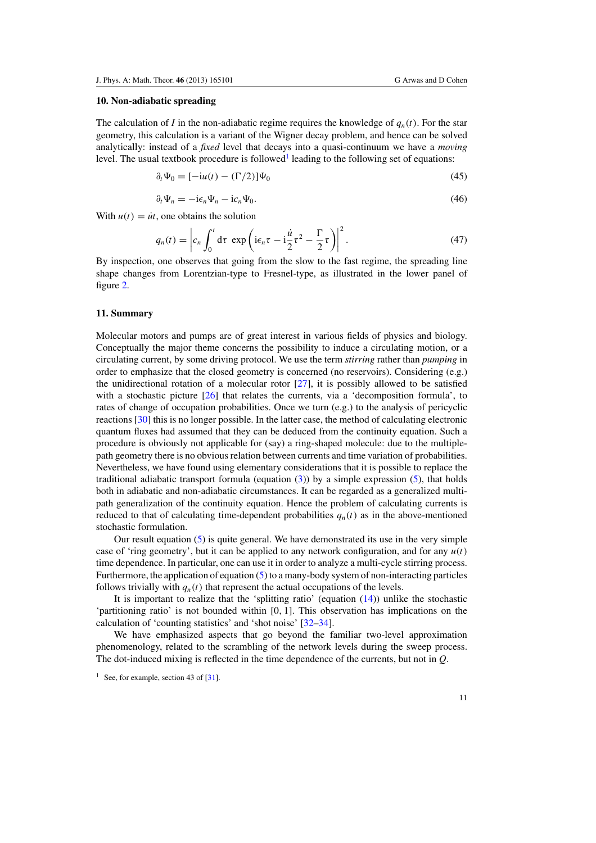## **10. Non-adiabatic spreading**

The calculation of *I* in the non-adiabatic regime requires the knowledge of  $q_n(t)$ . For the star geometry, this calculation is a variant of the Wigner decay problem, and hence can be solved analytically: instead of a *fixed* level that decays into a quasi-continuum we have a *moving* level. The usual textbook procedure is followed<sup>1</sup> leading to the following set of equations:

$$
\partial_t \Psi_0 = [-iu(t) - (\Gamma/2)]\Psi_0 \tag{45}
$$

$$
\partial_t \Psi_n = -i\epsilon_n \Psi_n - i c_n \Psi_0. \tag{46}
$$

With  $u(t) = \dot{u}t$ , one obtains the solution

$$
q_n(t) = \left| c_n \int_0^t \mathrm{d}\tau \, \exp\left( i\epsilon_n \tau - i\frac{\dot{u}}{2} \tau^2 - \frac{\Gamma}{2} \tau \right) \right|^2. \tag{47}
$$

By inspection, one observes that going from the slow to the fast regime, the spreading line shape changes from Lorentzian-type to Fresnel-type, as illustrated in the lower panel of figure [2.](#page-3-0)

### **11. Summary**

Molecular motors and pumps are of great interest in various fields of physics and biology. Conceptually the major theme concerns the possibility to induce a circulating motion, or a circulating current, by some driving protocol. We use the term *stirring* rather than *pumping* in order to emphasize that the closed geometry is concerned (no reservoirs). Considering (e.g.) the unidirectional rotation of a molecular rotor  $[27]$ , it is possibly allowed to be satisfied with a stochastic picture [\[26\]](#page-11-0) that relates the currents, via a 'decomposition formula', to rates of change of occupation probabilities. Once we turn (e.g.) to the analysis of pericyclic reactions [\[30](#page-11-0)] this is no longer possible. In the latter case, the method of calculating electronic quantum fluxes had assumed that they can be deduced from the continuity equation. Such a procedure is obviously not applicable for (say) a ring-shaped molecule: due to the multiplepath geometry there is no obvious relation between currents and time variation of probabilities. Nevertheless, we have found using elementary considerations that it is possible to replace the traditional adiabatic transport formula (equation  $(3)$ ) by a simple expression  $(5)$ , that holds both in adiabatic and non-adiabatic circumstances. It can be regarded as a generalized multipath generalization of the continuity equation. Hence the problem of calculating currents is reduced to that of calculating time-dependent probabilities  $q_n(t)$  as in the above-mentioned stochastic formulation.

Our result equation [\(5\)](#page-1-0) is quite general. We have demonstrated its use in the very simple case of 'ring geometry', but it can be applied to any network configuration, and for any  $u(t)$ time dependence. In particular, one can use it in order to analyze a multi-cycle stirring process. Furthermore, the application of equation [\(5\)](#page-1-0) to a many-body system of non-interacting particles follows trivially with  $q_n(t)$  that represent the actual occupations of the levels.

It is important to realize that the 'splitting ratio' (equation  $(14)$ ) unlike the stochastic 'partitioning ratio' is not bounded within [0, 1]. This observation has implications on the calculation of 'counting statistics' and 'shot noise' [\[32–34](#page-11-0)].

We have emphasized aspects that go beyond the familiar two-level approximation phenomenology, related to the scrambling of the network levels during the sweep process. The dot-induced mixing is reflected in the time dependence of the currents, but not in *Q*.

<sup>&</sup>lt;sup>1</sup> See, for example, section 43 of  $\lceil 31 \rceil$ .